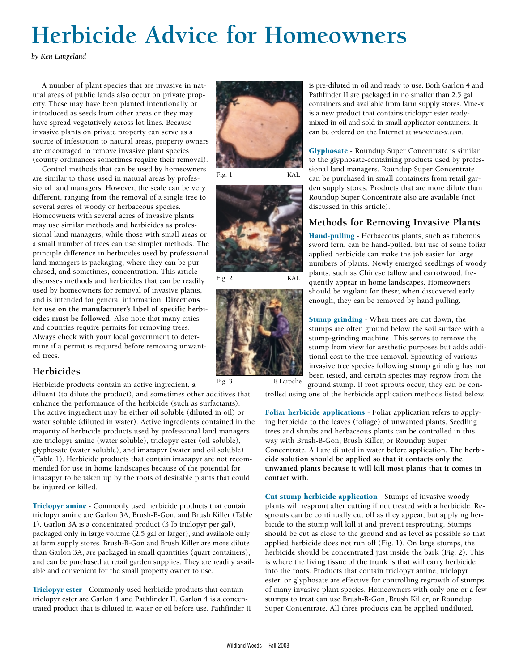# **Herbicide Advice for Homeowners**

*by Ken Langeland*

A number of plant species that are invasive in natural areas of public lands also occur on private property. These may have been planted intentionally or introduced as seeds from other areas or they may have spread vegetatively across lot lines. Because invasive plants on private property can serve as a source of infestation to natural areas, property owners are encouraged to remove invasive plant species (county ordinances sometimes require their removal).

Control methods that can be used by homeowners are similar to those used in natural areas by professional land managers. However, the scale can be very different, ranging from the removal of a single tree to several acres of woody or herbaceous species. Homeowners with several acres of invasive plants may use similar methods and herbicides as professional land managers, while those with small areas or a small number of trees can use simpler methods. The principle difference in herbicides used by professional land managers is packaging, where they can be purchased, and sometimes, concentration. This article discusses methods and herbicides that can be readily used by homeowners for removal of invasive plants, and is intended for general information. **Directions for use on the manufacturer's label of specific herbicides must be followed.** Also note that many cities and counties require permits for removing trees. Always check with your local government to determine if a permit is required before removing unwanted trees.

# **Herbicides**

Herbicide products contain an active ingredient, a

diluent (to dilute the product), and sometimes other additives that enhance the performance of the herbicide (such as surfactants). The active ingredient may be either oil soluble (diluted in oil) or water soluble (diluted in water). Active ingredients contained in the majority of herbicide products used by professional land managers are triclopyr amine (water soluble), triclopyr ester (oil soluble), glyphosate (water soluble), and imazapyr (water and oil soluble) (Table 1). Herbicide products that contain imazapyr are not recommended for use in home landscapes because of the potential for imazapyr to be taken up by the roots of desirable plants that could be injured or killed.

Triclopyr amine - Commonly used herbicide products that contain triclopyr amine are Garlon 3A, Brush-B-Gon, and Brush Killer (Table 1). Garlon 3A is a concentrated product (3 lb triclopyr per gal), packaged only in large volume (2.5 gal or larger), and available only at farm supply stores. Brush-B-Gon and Brush Killer are more dilute than Garlon 3A, are packaged in small quantities (quart containers), and can be purchased at retail garden supplies. They are readily available and convenient for the small property owner to use.

Triclopyr ester - Commonly used herbicide products that contain triclopyr ester are Garlon 4 and Pathfinder II. Garlon 4 is a concentrated product that is diluted in water or oil before use. Pathfinder II







Fig. 2 KAL



is pre-diluted in oil and ready to use. Both Garlon 4 and Pathfinder II are packaged in no smaller than 2.5 gal containers and available from farm supply stores. Vine-x is a new product that contains triclopyr ester readymixed in oil and sold in small applicator containers. It can be ordered on the Internet at *www.vine-x.com.*

Glyphosate - Roundup Super Concentrate is similar to the glyphosate-containing products used by professional land managers. Roundup Super Concentrate can be purchased in small containers from retail garden supply stores. Products that are more dilute than Roundup Super Concentrate also are available (not discussed in this article).

## **Methods for Removing Invasive Plants**

Hand-pulling - Herbaceous plants, such as tuberous sword fern, can be hand-pulled, but use of some foliar applied herbicide can make the job easier for large numbers of plants. Newly emerged seedlings of woody plants, such as Chinese tallow and carrotwood, frequently appear in home landscapes. Homeowners should be vigilant for these; when discovered early enough, they can be removed by hand pulling.

Stump grinding - When trees are cut down, the stumps are often ground below the soil surface with a stump-grinding machine. This serves to remove the stump from view for aesthetic purposes but adds additional cost to the tree removal. Sprouting of various invasive tree species following stump grinding has not been tested, and certain species may regrow from the ground stump. If root sprouts occur, they can be con-

trolled using one of the herbicide application methods listed below.

Foliar herbicide applications - Foliar application refers to applying herbicide to the leaves (foliage) of unwanted plants. Seedling trees and shrubs and herbaceous plants can be controlled in this way with Brush-B-Gon, Brush Killer, or Roundup Super Concentrate. All are diluted in water before application. **The herbicide solution should be applied so that it contacts only the unwanted plants because it will kill most plants that it comes in contact with.**

Cut stump herbicide application - Stumps of invasive woody plants will resprout after cutting if not treated with a herbicide. Resprouts can be continually cut off as they appear, but applying herbicide to the stump will kill it and prevent resprouting. Stumps should be cut as close to the ground and as level as possible so that applied herbicide does not run off (Fig. 1). On large stumps, the herbicide should be concentrated just inside the bark (Fig. 2). This is where the living tissue of the trunk is that will carry herbicide into the roots. Products that contain triclopyr amine, triclopyr ester, or glyphosate are effective for controlling regrowth of stumps of many invasive plant species. Homeowners with only one or a few stumps to treat can use Brush-B-Gon, Brush Killer, or Roundup Super Concentrate. All three products can be applied undiluted.